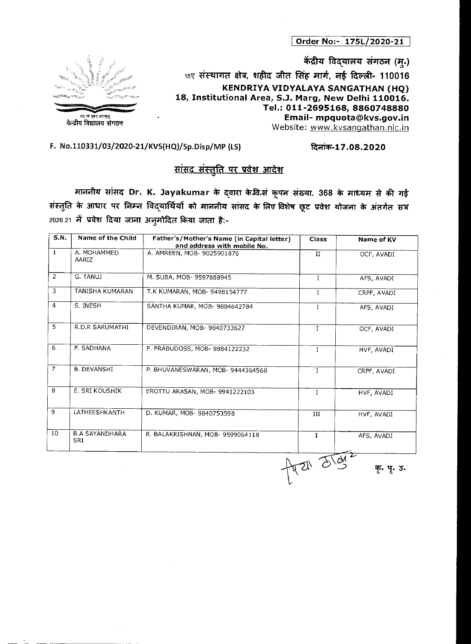**Order No:- 175L/2020-21** 

**केंद्रीय विद्**यालय संगठन (म्.) 18ए संस्थागत क्षेत्र, शहीद जीत सिंह मार्ग, नई दिल्ली- 110016 **KENDRIYA VIDYALAYA SANGATHAN (HQ) 18, Institutional Area, S.J. Marg, New Delhi 110016. Tel.: 011-2695168, 8860748880 Email- mpquota@kvs.gov.in**  سادة الساحة الساحة الساحة الساحة الساحة الساحة الساحة الساحة الساحة الساحة الساحة الساحة الساحة الساحة الساحة<br>Website: www.kvsangathan.nic.in



## F. No.110331/03/2020-21/KVS(HQ)/Sp.Disp/MP (LS) .roch-17.08.2020

## <u> सांसद संस्तुति पर प्रवेश आदेश</u>

माननीय सांसद Dr. K. Jayakumar के द्**वारा के वि.सं कूपन संख्या. 368 के माध्य**म से की गई संस्तुति के आधार पर निम्न विद्यार्थियों को माननीय सांसद के लिए विशेष छूट प्रवेश योजना के अंतर्गत सत्र 2020.21 में प्रवेश दिया जाना अनुमोदित किया जाता है:-

| <b>S.N.</b>    | Name of the Child                   | Father's/Mother's Name (in Capital letter)<br>and address with mobile No. | <b>Class</b> | Name of KV  |
|----------------|-------------------------------------|---------------------------------------------------------------------------|--------------|-------------|
| $\mathbf{1}$   | A. MOHAMMED<br>AARIZ                | A. AMREEN, MOB- 9025901876                                                | II           | OCF, AVADI  |
| $\overline{2}$ | G. TANUJ                            | M. SUBA, MOB- 9597888945                                                  | $\mathbf{I}$ | AFS, AVADI  |
| $\overline{3}$ | TANISHA KUMARAN                     | T.K KUMARAN, MOB- 9498154777                                              | $\mathbf{I}$ | CRPF, AVADI |
| $\overline{4}$ | S. INESH                            | SANTHA KUMAR, MOB- 9884642784                                             | $\mathbf I$  | AFS, AVADI  |
| $\overline{5}$ | R.D.R SARUMATHI                     | DEVENDIRAN, MOB- 9840733627                                               | $\mathbf I$  | OCF, AVADI  |
| 6              | P. SADHANA                          | P. PRABUDOSS, MOB- 9884122232                                             | $\mathbf I$  | HVF, AVADI  |
| $\overline{7}$ | <b>B. DEVANSHI</b>                  | P. BHUVANESWARAN, MOB- 9444364568                                         | $\mathbf{I}$ | CRPF, AVADI |
| 8              | E. SRI KOUSHIK                      | EROTTU ARASAN, MOB- 9941222103                                            | I            | HVF, AVADI  |
| 9              | LATHEESHKANTH                       | D. KUMAR, MOB- 9840753598                                                 | III          | HVF, AVADI  |
| 10             | <b>B.A SAYANDHARA</b><br><b>SRI</b> | R. BALAKRISHNAN, MOB- 9599064118                                          | $\mathbf{I}$ | AFS, AVADI  |
|                |                                     |                                                                           | treat drag   |             |